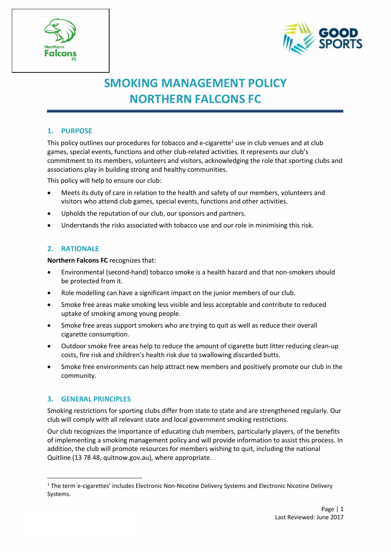



# **SMOKING MANAGEMENT POLICY NORTHERN FALCONS FC**

# **1. PURPOSE**

This policy outlines our procedures for tobacco and e-cigarette<sup>1</sup> use in club venues and at club games, special events, functions and other club-related activities. It represents our club's commitment to its members, volunteers and visitors, acknowledging the role that sporting clubs and associations play in building strong and healthy communities.

This policy will help to ensure our club:

- Meets its duty of care in relation to the health and safety of our members, volunteers and visitors who attend club games, special events, functions and other activities.
- Upholds the reputation of our club, our sponsors and partners.
- Understands the risks associated with tobacco use and our role in minimising this risk.

# **2. RATIONALE**

**Northern Falcons FC** recognizes that:

- Environmental (second-hand) tobacco smoke is a health hazard and that non-smokers should be protected from it.
- Role modelling can have a significant impact on the junior members of our club.
- Smoke free areas make smoking less visible and less acceptable and contribute to reduced uptake of smoking among young people.
- Smoke free areas support smokers who are trying to quit as well as reduce their overall cigarette consumption.
- Outdoor smoke free areas help to reduce the amount of cigarette butt litter reducing clean-up costs, fire risk and children's health risk due to swallowing discarded butts.
- Smoke free environments can help attract new members and positively promote our club in the community.

#### **3. GENERAL PRINCIPLES**

Smoking restrictions for sporting clubs differ from state to state and are strengthened regularly. Our club will comply with all relevant state and local government smoking restrictions.

Our club recognizes the importance of educating club members, particularly players, of the benefits of implementing a smoking management policy and will provide information to assist this process. In addition, the club will promote resources for members wishing to quit, including the national Quitline (13 78 48, quitnow.gov.au), where appropriate.

<sup>&</sup>lt;sup>1</sup> The term e-cigarettes' includes Electronic Non-Nicotine Delivery Systems and Electronic Nicotine Delivery Systems.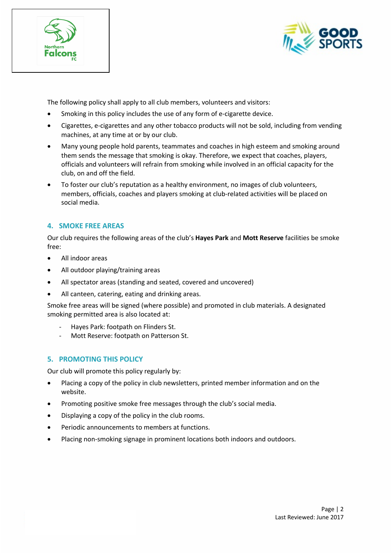



The following policy shall apply to all club members, volunteers and visitors:

- Smoking in this policy includes the use of any form of e-cigarette device.
- Cigarettes, e-cigarettes and any other tobacco products will not be sold, including from vending machines, at any time at or by our club.
- Many young people hold parents, teammates and coaches in high esteem and smoking around them sends the message that smoking is okay. Therefore, we expect that coaches, players, officials and volunteers will refrain from smoking while involved in an official capacity for the club, on and off the field.
- To foster our club's reputation as a healthy environment, no images of club volunteers, members, officials, coaches and players smoking at club-related activities will be placed on social media.

# **4. SMOKE FREE AREAS**

Our club requires the following areas of the club's **Hayes Park** and **Mott Reserve** facilities be smoke free:

- All indoor areas
- All outdoor playing/training areas
- All spectator areas (standing and seated, covered and uncovered)
- All canteen, catering, eating and drinking areas.

Smoke free areas will be signed (where possible) and promoted in club materials. A designated smoking permitted area is also located at:

- Hayes Park: footpath on Flinders St.
- Mott Reserve: footpath on Patterson St.

#### **5. PROMOTING THIS POLICY**

Our club will promote this policy regularly by:

- Placing a copy of the policy in club newsletters, printed member information and on the website.
- Promoting positive smoke free messages through the club's social media.
- Displaying a copy of the policy in the club rooms.
- Periodic announcements to members at functions.
- Placing non-smoking signage in prominent locations both indoors and outdoors.